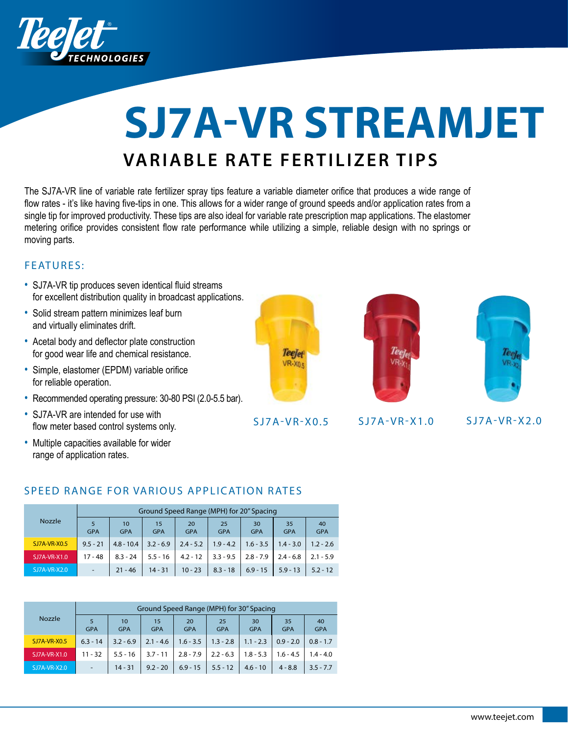

# **SJ7A-VR STREAMJET VARIABLE RATE FERTILIZER TIPS**

The SJ7A-VR line of variable rate fertilizer spray tips feature a variable diameter orifice that produces a wide range of flow rates - it's like having five-tips in one. This allows for a wider range of ground speeds and/or application rates from a single tip for improved productivity. These tips are also ideal for variable rate prescription map applications. The elastomer metering orifice provides consistent flow rate performance while utilizing a simple, reliable design with no springs or moving parts.

### FEATURES:

- SJ7A-VR tip produces seven identical fluid streams for excellent distribution quality in broadcast applications.
- Solid stream pattern minimizes leaf burn and virtually eliminates drift.
- Acetal body and deflector plate construction for good wear life and chemical resistance.
- Simple, elastomer (EPDM) variable orifice for reliable operation.
- Recommended operating pressure: 30-80 PSI (2.0-5.5 bar).
- SJ7A-VR are intended for use with flow meter based control systems only.
- Multiple capacities available for wider range of application rates.



S J 7 A - V R - X 0.5 S J 7 A - V R - X 1.0 S J 7 A - V R - X 2.0





### SPEED RANGE FOR VARIOUS APPLICATION RATES

|                     | Ground Speed Range (MPH) for 20" Spacing |                               |                  |                  |                  |                  |                  |                  |  |  |  |
|---------------------|------------------------------------------|-------------------------------|------------------|------------------|------------------|------------------|------------------|------------------|--|--|--|
| <b>Nozzle</b>       | 5<br><b>GPA</b>                          | 10 <sup>°</sup><br><b>GPA</b> | 15<br><b>GPA</b> | 20<br><b>GPA</b> | 25<br><b>GPA</b> | 30<br><b>GPA</b> | 35<br><b>GPA</b> | 40<br><b>GPA</b> |  |  |  |
| <b>SJ7A-VR-X0.5</b> | $9.5 - 21$                               | $4.8 - 10.4$                  | $3.2 - 6.9$      | $2.4 - 5.2$      | $1.9 - 4.2$      | $1.6 - 3.5$      | $1.4 - 3.0$      | $1.2 - 2.6$      |  |  |  |
| SJ7A-VR-X1.0        | $17 - 48$                                | $8.3 - 24$                    | $5.5 - 16$       | $4.2 - 12$       | $3.3 - 9.5$      | $2.8 - 7.9$      | $2.4 - 6.8$      | $2.1 - 5.9$      |  |  |  |
| SJ7A-VR-X2.0        | $\blacksquare$                           | $21 - 46$                     | $14 - 31$        | $10 - 23$        | $8.3 - 18$       | $6.9 - 15$       | $5.9 - 13$       | $5.2 - 12$       |  |  |  |

|                | Ground Speed Range (MPH) for 30" Spacing |                  |                  |                  |                  |                  |                  |                  |  |  |  |
|----------------|------------------------------------------|------------------|------------------|------------------|------------------|------------------|------------------|------------------|--|--|--|
| <b>Nozzle</b>  | 5<br><b>GPA</b>                          | 10<br><b>GPA</b> | 15<br><b>GPA</b> | 20<br><b>GPA</b> | 25<br><b>GPA</b> | 30<br><b>GPA</b> | 35<br><b>GPA</b> | 40<br><b>GPA</b> |  |  |  |
| SJ7A-VR-X0.5   | $6.3 - 14$                               | $3.2 - 6.9$      | $2.1 - 4.6$      | $1.6 - 3.5$      | $1.3 - 2.8$      | $1.1 - 2.3$      | $0.9 - 2.0$      | $0.8 - 1.7$      |  |  |  |
| SJ7A-VR-X1.0   | $11 - 32$                                | $5.5 - 16$       | $3.7 - 11$       | $2.8 - 7.9$      | $2.2 - 6.3$      | $1.8 - 5.3$      | $1.6 - 4.5$      | $1.4 - 4.0$      |  |  |  |
| $SJ7A-VR-X2.0$ | ۰.                                       | $14 - 31$        | $9.2 - 20$       | $6.9 - 15$       | $5.5 - 12$       | $4.6 - 10$       | $4 - 8.8$        | $3.5 - 7.7$      |  |  |  |